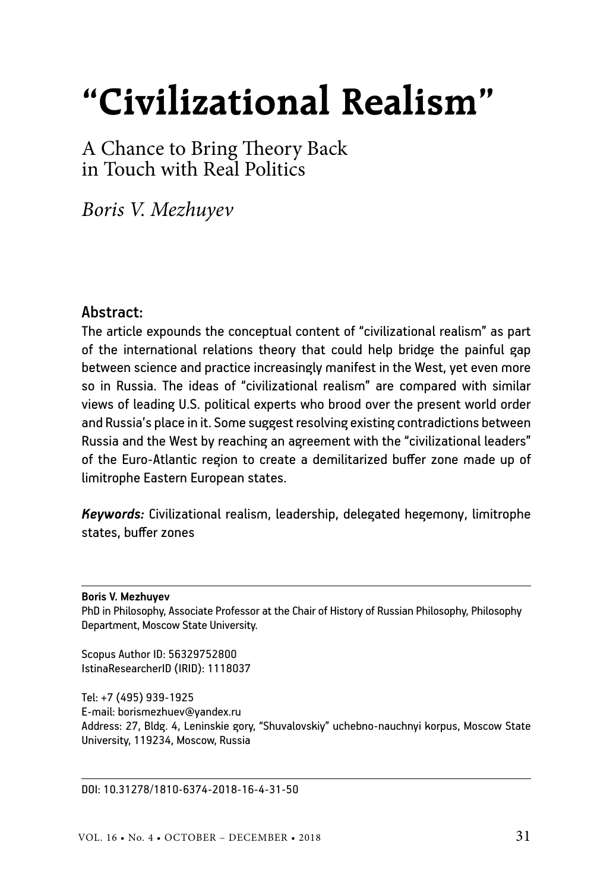# **"Civilizational Realism"**

A Chance to Bring Theory Back in Touch with Real Politics

*Boris V. Mezhuyev*

#### Abstract:

The article expounds the conceptual content of "civilizational realism" as part of the international relations theory that could help bridge the painful gap between science and practice increasingly manifest in the West, yet even more so in Russia. The ideas of "civilizational realism" are compared with similar views of leading U.S. political experts who brood over the present world order and Russia's place in it. Some suggest resolving existing contradictions between Russia and the West by reaching an agreement with the "civilizational leaders" of the Euro-Atlantic region to create a demilitarized buffer zone made up of limitrophe Eastern European states.

*Keywords:* Civilizational realism, leadership, delegated hegemony, limitrophe states, buffer zones

**Boris V. Mezhuyev**

PhD in Philosophy, Associate Professor at the Chair of History of Russian Philosophy, Philosophy Department, Moscow State University.

Scopus Author ID: 56329752800 IstinaResearcherID (IRID): 1118037

Tel: +7 (495) 939-1925 E-mail: borismezhuev@yandex.ru Address: 27, Bldg. 4, Leninskie gory, "Shuvalovskiy" uchebno-nauchnyi korpus, Moscow State University, 119234, Moscow, Russia

DOI: 10.31278/1810-6374-2018-16-4-31-50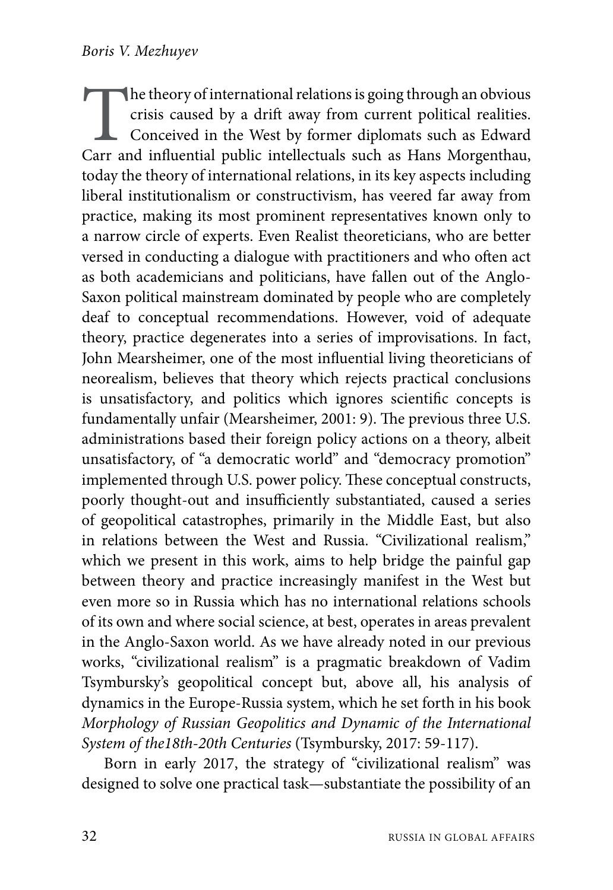The theory of international relations is going through an obvious crisis caused by a drift away from current political realities.<br>Conceived in the West by former diplomats such as Edward Carr and influential public intelle crisis caused by a drift away from current political realities. Conceived in the West by former diplomats such as Edward today the theory of international relations, in its key aspects including liberal institutionalism or constructivism, has veered far away from practice, making its most prominent representatives known only to a narrow circle of experts. Even Realist theoreticians, who are better versed in conducting a dialogue with practitioners and who often act as both academicians and politicians, have fallen out of the Anglo-Saxon political mainstream dominated by people who are completely deaf to conceptual recommendations. However, void of adequate theory, practice degenerates into a series of improvisations. In fact, John Mearsheimer, one of the most influential living theoreticians of neorealism, believes that theory which rejects practical conclusions is unsatisfactory, and politics which ignores scientific concepts is fundamentally unfair (Mearsheimer, 2001: 9). The previous three U.S. administrations based their foreign policy actions on a theory, albeit unsatisfactory, of "a democratic world" and "democracy promotion" implemented through U.S. power policy. These conceptual constructs, poorly thought-out and insufficiently substantiated, caused a series of geopolitical catastrophes, primarily in the Middle East, but also in relations between the West and Russia. "Civilizational realism," which we present in this work, aims to help bridge the painful gap between theory and practice increasingly manifest in the West but even more so in Russia which has no international relations schools of its own and where social science, at best, operates in areas prevalent in the Anglo-Saxon world. As we have already noted in our previous works, "civilizational realism" is a pragmatic breakdown of Vadim Tsymbursky's geopolitical concept but, above all, his analysis of dynamics in the Europe-Russia system, which he set forth in his book *Morphology of Russian Geopolitics and Dynamic of the International System of the18th-20th Centuries* (Tsymbursky, 2017: 59-117).

Born in early 2017, the strategy of "civilizational realism" was designed to solve one practical task—substantiate the possibility of an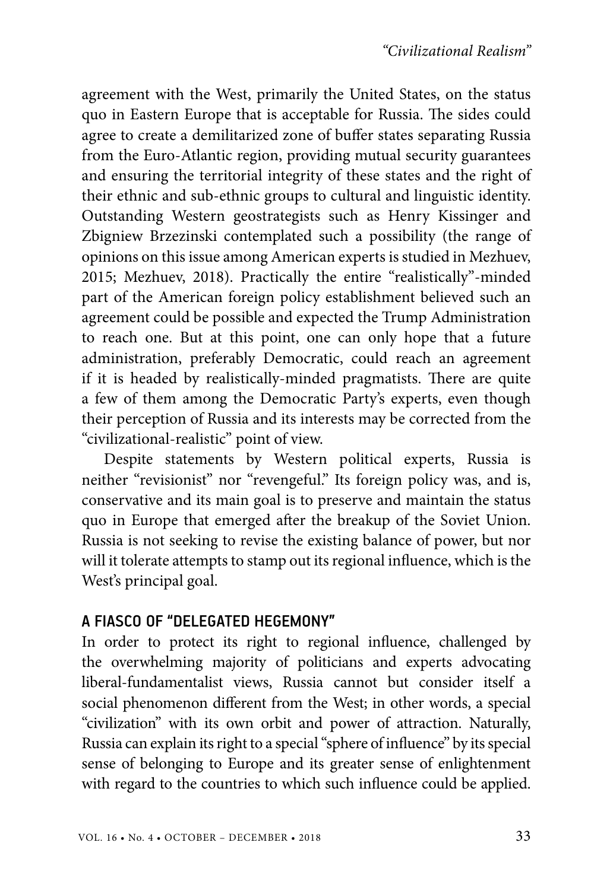agreement with the West, primarily the United States, on the status quo in Eastern Europe that is acceptable for Russia. The sides could agree to create a demilitarized zone of buffer states separating Russia from the Euro-Atlantic region, providing mutual security guarantees and ensuring the territorial integrity of these states and the right of their ethnic and sub-ethnic groups to cultural and linguistic identity. Outstanding Western geostrategists such as Henry Kissinger and Zbigniew Brzezinski contemplated such a possibility (the range of opinions on this issue among American experts is studied in Mezhuev, 2015; Mezhuev, 2018). Practically the entire "realistically"-minded part of the American foreign policy establishment believed such an agreement could be possible and expected the Trump Administration to reach one. But at this point, one can only hope that a future administration, preferably Democratic, could reach an agreement if it is headed by realistically-minded pragmatists. There are quite a few of them among the Democratic Party's experts, even though their perception of Russia and its interests may be corrected from the "civilizational-realistic" point of view.

Despite statements by Western political experts, Russia is neither "revisionist" nor "revengeful." Its foreign policy was, and is, conservative and its main goal is to preserve and maintain the status quo in Europe that emerged after the breakup of the Soviet Union. Russia is not seeking to revise the existing balance of power, but nor will it tolerate attempts to stamp out its regional influence, which is the West's principal goal.

## A FIASCO OF "DELEGATED HEGEMONY"

In order to protect its right to regional influence, challenged by the overwhelming majority of politicians and experts advocating liberal-fundamentalist views, Russia cannot but consider itself a social phenomenon different from the West; in other words, a special "civilization" with its own orbit and power of attraction. Naturally, Russia can explain its right to a special "sphere of influence" by its special sense of belonging to Europe and its greater sense of enlightenment with regard to the countries to which such influence could be applied.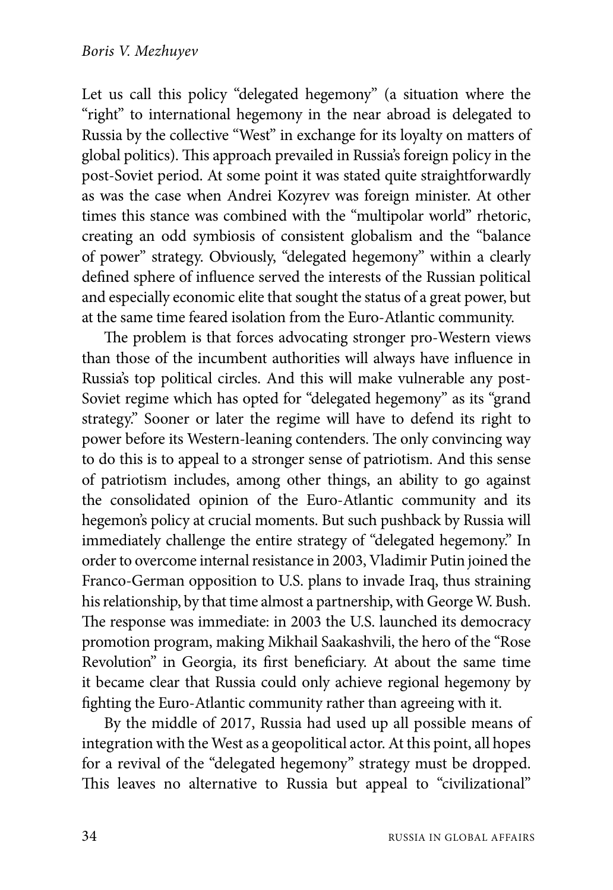Let us call this policy "delegated hegemony" (a situation where the "right" to international hegemony in the near abroad is delegated to Russia by the collective "West" in exchange for its loyalty on matters of global politics). This approach prevailed in Russia's foreign policy in the post-Soviet period. At some point it was stated quite straightforwardly as was the case when Andrei Kozyrev was foreign minister. At other times this stance was combined with the "multipolar world" rhetoric, creating an odd symbiosis of consistent globalism and the "balance of power" strategy. Obviously, "delegated hegemony" within a clearly defined sphere of influence served the interests of the Russian political and especially economic elite that sought the status of a great power, but at the same time feared isolation from the Euro-Atlantic community.

The problem is that forces advocating stronger pro-Western views than those of the incumbent authorities will always have influence in Russia's top political circles. And this will make vulnerable any post-Soviet regime which has opted for "delegated hegemony" as its "grand strategy." Sooner or later the regime will have to defend its right to power before its Western-leaning contenders. The only convincing way to do this is to appeal to a stronger sense of patriotism. And this sense of patriotism includes, among other things, an ability to go against the consolidated opinion of the Euro-Atlantic community and its hegemon's policy at crucial moments. But such pushback by Russia will immediately challenge the entire strategy of "delegated hegemony." In order to overcome internal resistance in 2003, Vladimir Putin joined the Franco-German opposition to U.S. plans to invade Iraq, thus straining his relationship, by that time almost a partnership, with George W. Bush. The response was immediate: in 2003 the U.S. launched its democracy promotion program, making Mikhail Saakashvili, the hero of the "Rose Revolution" in Georgia, its first beneficiary. At about the same time it became clear that Russia could only achieve regional hegemony by fighting the Euro-Atlantic community rather than agreeing with it.

By the middle of 2017, Russia had used up all possible means of integration with the West as a geopolitical actor. At this point, all hopes for a revival of the "delegated hegemony" strategy must be dropped. This leaves no alternative to Russia but appeal to "civilizational"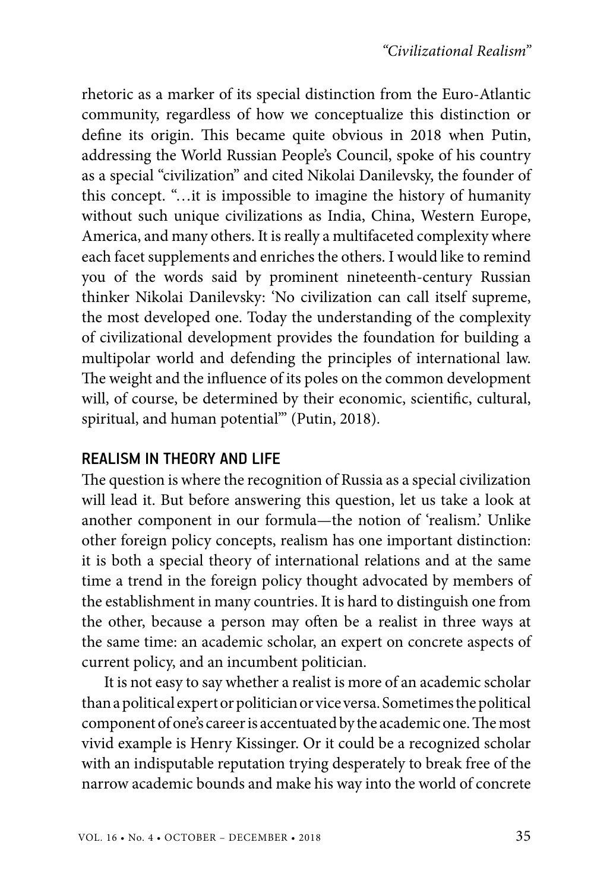rhetoric as a marker of its special distinction from the Euro-Atlantic community, regardless of how we conceptualize this distinction or define its origin. This became quite obvious in 2018 when Putin, addressing the World Russian People's Council, spoke of his country as a special "civilization" and cited Nikolai Danilevsky, the founder of this concept. "…it is impossible to imagine the history of humanity without such unique civilizations as India, China, Western Europe, America, and many others. It is really a multifaceted complexity where each facet supplements and enriches the others. I would like to remind you of the words said by prominent nineteenth-century Russian thinker Nikolai Danilevsky: 'No civilization can call itself supreme, the most developed one. Today the understanding of the complexity of civilizational development provides the foundation for building a multipolar world and defending the principles of international law. The weight and the influence of its poles on the common development will, of course, be determined by their economic, scientific, cultural, spiritual, and human potential'" (Putin, 2018).

## REALISM IN THEORY AND LIFE

The question is where the recognition of Russia as a special civilization will lead it. But before answering this question, let us take a look at another component in our formula—the notion of 'realism.' Unlike other foreign policy concepts, realism has one important distinction: it is both a special theory of international relations and at the same time a trend in the foreign policy thought advocated by members of the establishment in many countries. It is hard to distinguish one from the other, because a person may often be a realist in three ways at the same time: an academic scholar, an expert on concrete aspects of current policy, and an incumbent politician.

It is not easy to say whether a realist is more of an academic scholar than a political expert or politician or vice versa. Sometimes the political component of one's career is accentuated by the academic one. The most vivid example is Henry Kissinger. Or it could be a recognized scholar with an indisputable reputation trying desperately to break free of the narrow academic bounds and make his way into the world of concrete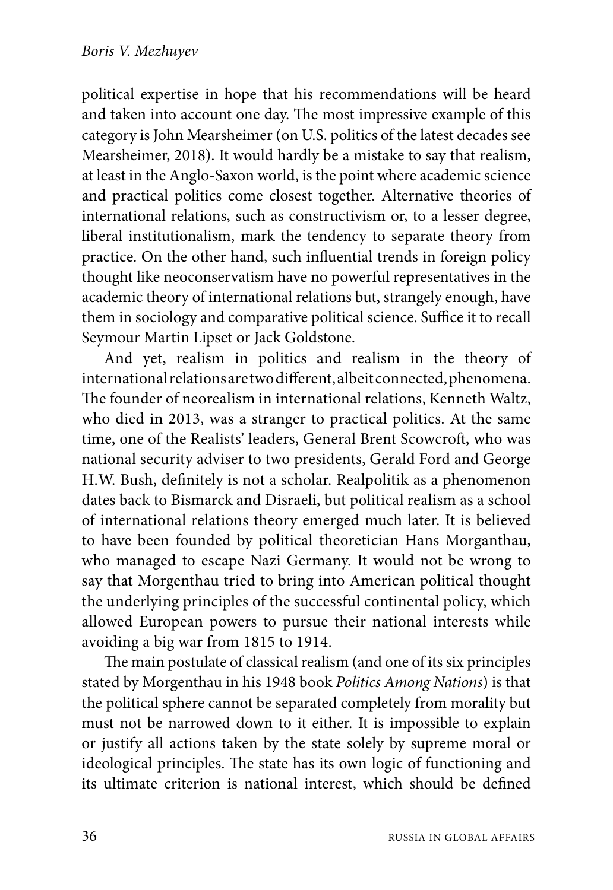political expertise in hope that his recommendations will be heard and taken into account one day. The most impressive example of this category is John Mearsheimer (on U.S. politics of the latest decades see Mearsheimer, 2018). It would hardly be a mistake to say that realism, at least in the Anglo-Saxon world, is the point where academic science and practical politics come closest together. Alternative theories of international relations, such as constructivism or, to a lesser degree, liberal institutionalism, mark the tendency to separate theory from practice. On the other hand, such influential trends in foreign policy thought like neoconservatism have no powerful representatives in the academic theory of international relations but, strangely enough, have them in sociology and comparative political science. Suffice it to recall Seymour Martin Lipset or Jack Goldstone.

And yet, realism in politics and realism in the theory of international relations are two different, albeit connected, phenomena. The founder of neorealism in international relations, Kenneth Waltz, who died in 2013, was a stranger to practical politics. At the same time, one of the Realists' leaders, General Brent Scowcroft, who was national security adviser to two presidents, Gerald Ford and George H.W. Bush, definitely is not a scholar. Realpolitik as a phenomenon dates back to Bismarck and Disraeli, but political realism as a school of international relations theory emerged much later. It is believed to have been founded by political theoretician Hans Morganthau, who managed to escape Nazi Germany. It would not be wrong to say that Morgenthau tried to bring into American political thought the underlying principles of the successful continental policy, which allowed European powers to pursue their national interests while avoiding a big war from 1815 to 1914.

The main postulate of classical realism (and one of its six principles stated by Morgenthau in his 1948 book *Politics Among Nations*) is that the political sphere cannot be separated completely from morality but must not be narrowed down to it either. It is impossible to explain or justify all actions taken by the state solely by supreme moral or ideological principles. The state has its own logic of functioning and its ultimate criterion is national interest, which should be defined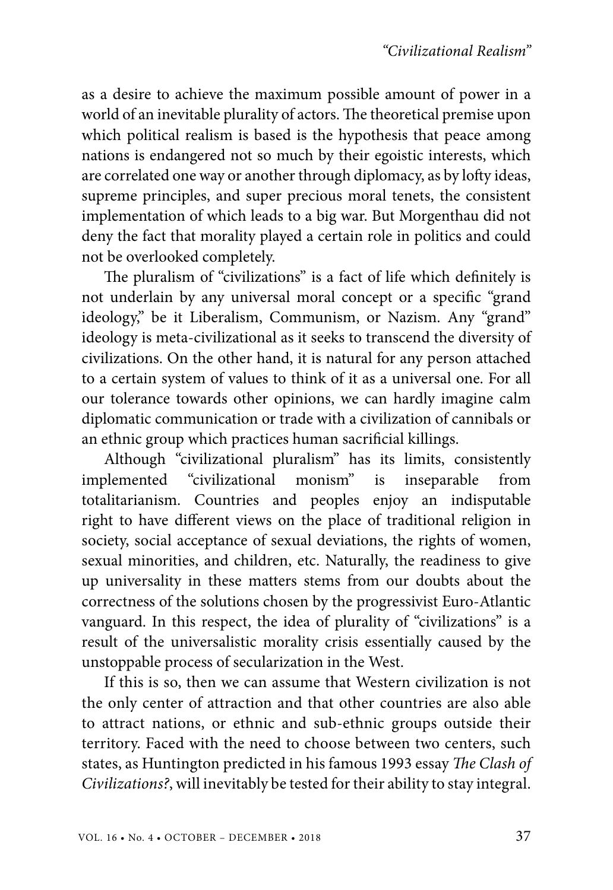as a desire to achieve the maximum possible amount of power in a world of an inevitable plurality of actors. The theoretical premise upon which political realism is based is the hypothesis that peace among nations is endangered not so much by their egoistic interests, which are correlated one way or another through diplomacy, as by lofty ideas, supreme principles, and super precious moral tenets, the consistent implementation of which leads to a big war. But Morgenthau did not deny the fact that morality played a certain role in politics and could not be overlooked completely.

The pluralism of "civilizations" is a fact of life which definitely is not underlain by any universal moral concept or a specific "grand ideology," be it Liberalism, Communism, or Nazism. Any "grand" ideology is meta-civilizational as it seeks to transcend the diversity of civilizations. On the other hand, it is natural for any person attached to a certain system of values to think of it as a universal one. For all our tolerance towards other opinions, we can hardly imagine calm diplomatic communication or trade with a civilization of cannibals or an ethnic group which practices human sacrificial killings.

Although "civilizational pluralism" has its limits, consistently implemented "civilizational monism" is inseparable from totalitarianism. Countries and peoples enjoy an indisputable right to have different views on the place of traditional religion in society, social acceptance of sexual deviations, the rights of women, sexual minorities, and children, etc. Naturally, the readiness to give up universality in these matters stems from our doubts about the correctness of the solutions chosen by the progressivist Euro-Atlantic vanguard. In this respect, the idea of plurality of "civilizations" is a result of the universalistic morality crisis essentially caused by the unstoppable process of secularization in the West.

If this is so, then we can assume that Western civilization is not the only center of attraction and that other countries are also able to attract nations, or ethnic and sub-ethnic groups outside their territory. Faced with the need to choose between two centers, such states, as Huntington predicted in his famous 1993 essay *The Clash of Civilizations?*, will inevitably be tested for their ability to stay integral.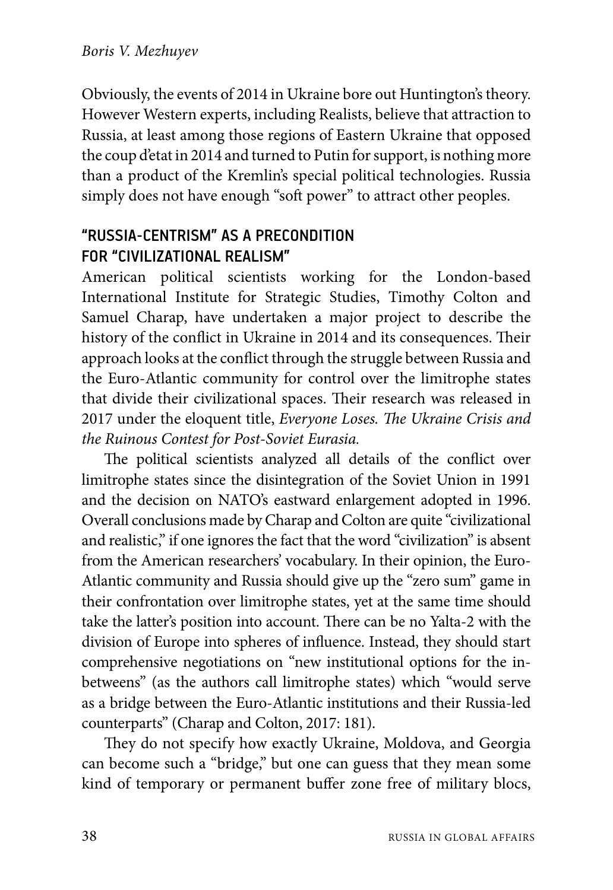Obviously, the events of 2014 in Ukraine bore out Huntington's theory. However Western experts, including Realists, believe that attraction to Russia, at least among those regions of Eastern Ukraine that opposed the coup d'etat in 2014 and turned to Putin for support, is nothing more than a product of the Kremlin's special political technologies. Russia simply does not have enough "soft power" to attract other peoples.

# "RUSSIA-CENTRISM" AS A PRECONDITION FOR "CIVILIZATIONAL REALISM"

American political scientists working for the London-based International Institute for Strategic Studies, Timothy Colton and Samuel Charap, have undertaken a major project to describe the history of the conflict in Ukraine in 2014 and its consequences. Their approach looks at the conflict through the struggle between Russia and the Euro-Atlantic community for control over the limitrophe states that divide their civilizational spaces. Their research was released in 2017 under the eloquent title, *Everyone Loses. The Ukraine Crisis and the Ruinous Contest for Post-Soviet Eurasia.*

The political scientists analyzed all details of the conflict over limitrophe states since the disintegration of the Soviet Union in 1991 and the decision on NATO's eastward enlargement adopted in 1996. Overall conclusions made by Charap and Colton are quite "civilizational and realistic," if one ignores the fact that the word "civilization" is absent from the American researchers' vocabulary. In their opinion, the Euro-Atlantic community and Russia should give up the "zero sum" game in their confrontation over limitrophe states, yet at the same time should take the latter's position into account. There can be no Yalta-2 with the division of Europe into spheres of influence. Instead, they should start comprehensive negotiations on "new institutional options for the inbetweens" (as the authors call limitrophe states) which "would serve as a bridge between the Euro-Atlantic institutions and their Russia-led counterparts" (Charap and Colton, 2017: 181).

They do not specify how exactly Ukraine, Moldova, and Georgia can become such a "bridge," but one can guess that they mean some kind of temporary or permanent buffer zone free of military blocs,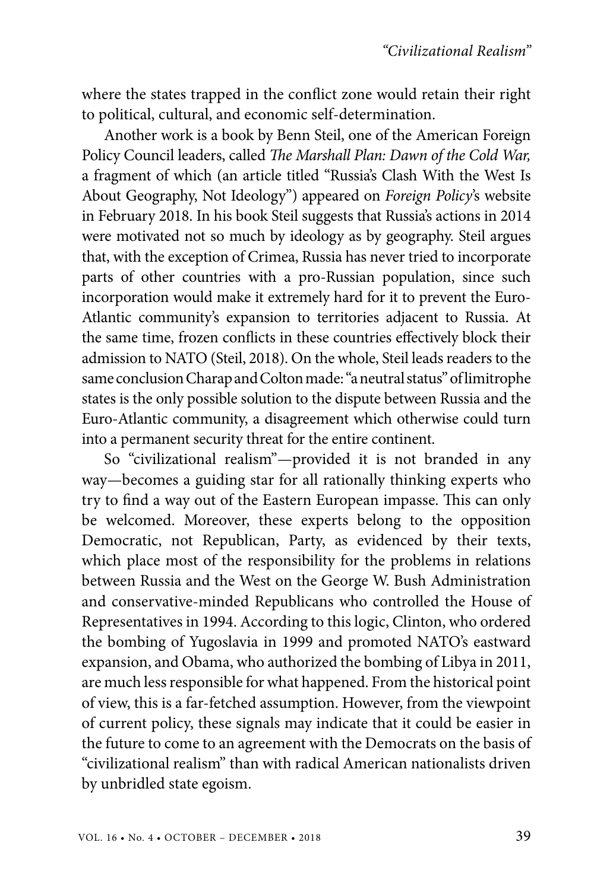where the states trapped in the conflict zone would retain their right to political, cultural, and economic self-determination.

Another work is a book by Benn Steil, one of the American Foreign Policy Council leaders, called *The Marshall Plan: Dawn of the Cold War,* a fragment of which (an article titled "Russia's Clash With the West Is About Geography, Not Ideology") appeared on *Foreign Policy*'s website in February 2018. In his book Steil suggests that Russia's actions in 2014 were motivated not so much by ideology as by geography. Steil argues that, with the exception of Crimea, Russia has never tried to incorporate parts of other countries with a pro-Russian population, since such incorporation would make it extremely hard for it to prevent the Euro-Atlantic community's expansion to territories adjacent to Russia. At the same time, frozen conflicts in these countries effectively block their admission to NATO (Steil, 2018). On the whole, Steil leads readers to the same conclusion Charap and Colton made: "a neutral status" of limitrophe states is the only possible solution to the dispute between Russia and the Euro-Atlantic community, a disagreement which otherwise could turn into a permanent security threat for the entire continent.

So "civilizational realism"—provided it is not branded in any way—becomes a guiding star for all rationally thinking experts who try to find a way out of the Eastern European impasse. This can only be welcomed. Moreover, these experts belong to the opposition Democratic, not Republican, Party, as evidenced by their texts, which place most of the responsibility for the problems in relations between Russia and the West on the George W. Bush Administration and conservative-minded Republicans who controlled the House of Representatives in 1994. According to this logic, Clinton, who ordered the bombing of Yugoslavia in 1999 and promoted NATO's eastward expansion, and Obama, who authorized the bombing of Libya in 2011, are much less responsible for what happened. From the historical point of view, this is a far-fetched assumption. However, from the viewpoint of current policy, these signals may indicate that it could be easier in the future to come to an agreement with the Democrats on the basis of "civilizational realism" than with radical American nationalists driven by unbridled state egoism.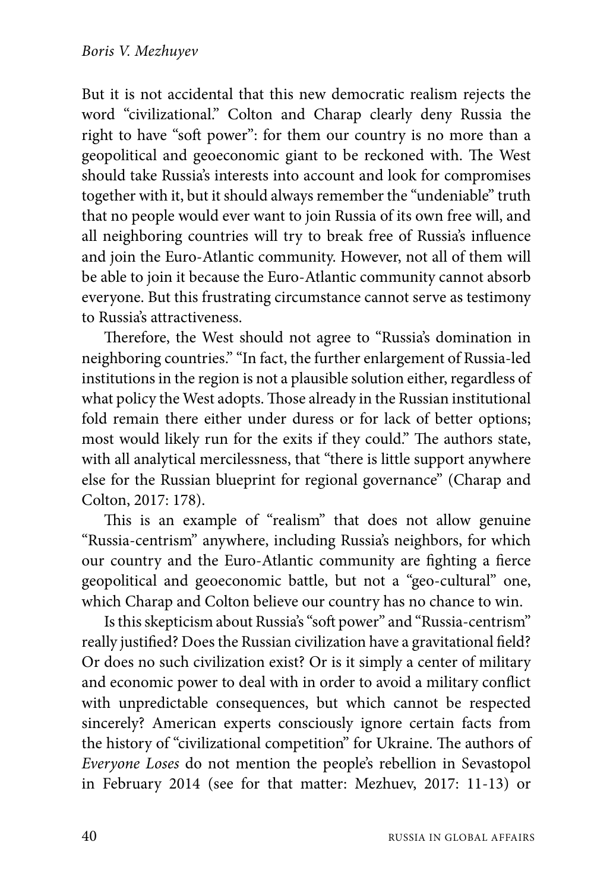But it is not accidental that this new democratic realism rejects the word "civilizational." Colton and Charap clearly deny Russia the right to have "soft power": for them our country is no more than a geopolitical and geoeconomic giant to be reckoned with. The West should take Russia's interests into account and look for compromises together with it, but it should always remember the "undeniable" truth that no people would ever want to join Russia of its own free will, and all neighboring countries will try to break free of Russia's influence and join the Euro-Atlantic community. However, not all of them will be able to join it because the Euro-Atlantic community cannot absorb everyone. But this frustrating circumstance cannot serve as testimony to Russia's attractiveness.

Therefore, the West should not agree to "Russia's domination in neighboring countries." "In fact, the further enlargement of Russia-led institutions in the region is not a plausible solution either, regardless of what policy the West adopts. Those already in the Russian institutional fold remain there either under duress or for lack of better options; most would likely run for the exits if they could." The authors state, with all analytical mercilessness, that "there is little support anywhere else for the Russian blueprint for regional governance" (Charap and Colton, 2017: 178).

This is an example of "realism" that does not allow genuine "Russia-centrism" anywhere, including Russia's neighbors, for which our country and the Euro-Atlantic community are fighting a fierce geopolitical and geoeconomic battle, but not a "geo-cultural" one, which Charap and Colton believe our country has no chance to win.

Is this skepticism about Russia's "soft power" and "Russia-centrism" really justified? Does the Russian civilization have a gravitational field? Or does no such civilization exist? Or is it simply a center of military and economic power to deal with in order to avoid a military conflict with unpredictable consequences, but which cannot be respected sincerely? American experts consciously ignore certain facts from the history of "civilizational competition" for Ukraine. The authors of *Everyone Loses* do not mention the people's rebellion in Sevastopol in February 2014 (see for that matter: Mezhuev, 2017: 11-13) or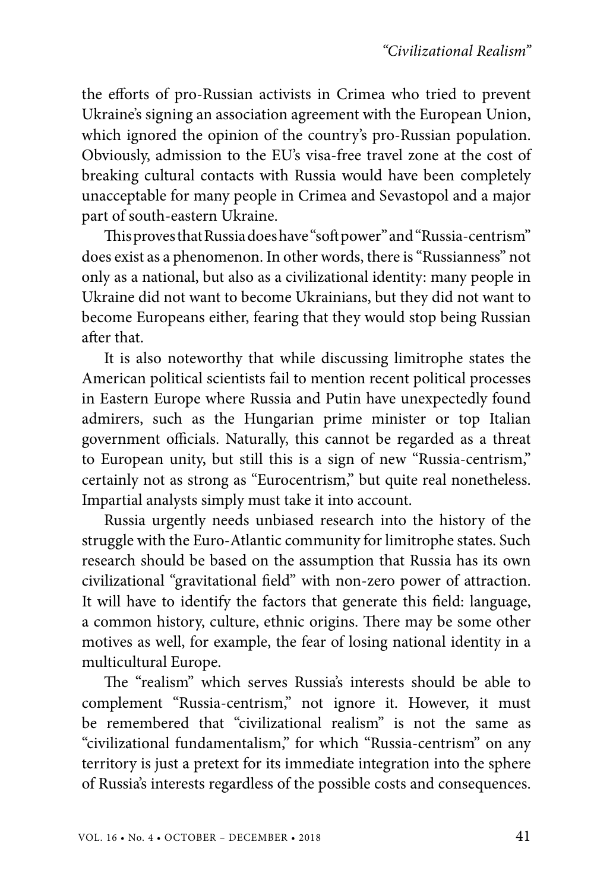the efforts of pro-Russian activists in Crimea who tried to prevent Ukraine's signing an association agreement with the European Union, which ignored the opinion of the country's pro-Russian population. Obviously, admission to the EU's visa-free travel zone at the cost of breaking cultural contacts with Russia would have been completely unacceptable for many people in Crimea and Sevastopol and a major part of south-eastern Ukraine.

This proves that Russia does have "soft power" and "Russia-centrism" does exist as a phenomenon. In other words, there is "Russianness" not only as a national, but also as a civilizational identity: many people in Ukraine did not want to become Ukrainians, but they did not want to become Europeans either, fearing that they would stop being Russian after that.

It is also noteworthy that while discussing limitrophe states the American political scientists fail to mention recent political processes in Eastern Europe where Russia and Putin have unexpectedly found admirers, such as the Hungarian prime minister or top Italian government officials. Naturally, this cannot be regarded as a threat to European unity, but still this is a sign of new "Russia-centrism," certainly not as strong as "Eurocentrism," but quite real nonetheless. Impartial analysts simply must take it into account.

Russia urgently needs unbiased research into the history of the struggle with the Euro-Atlantic community for limitrophe states. Such research should be based on the assumption that Russia has its own civilizational "gravitational field" with non-zero power of attraction. It will have to identify the factors that generate this field: language, a common history, culture, ethnic origins. There may be some other motives as well, for example, the fear of losing national identity in a multicultural Europe.

The "realism" which serves Russia's interests should be able to complement "Russia-centrism," not ignore it. However, it must be remembered that "civilizational realism" is not the same as "civilizational fundamentalism," for which "Russia-centrism" on any territory is just a pretext for its immediate integration into the sphere of Russia's interests regardless of the possible costs and consequences.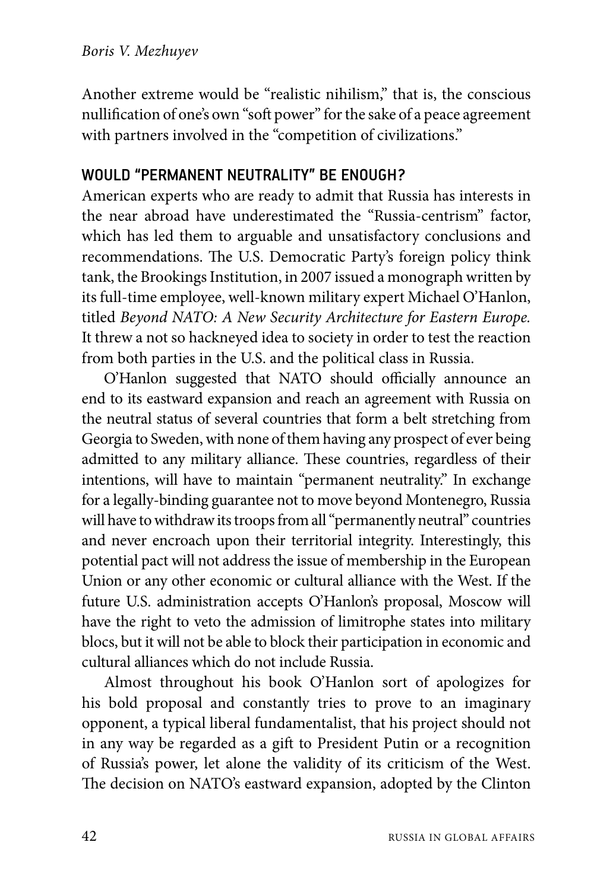Another extreme would be "realistic nihilism," that is, the conscious nullification of one's own "soft power" for the sake of a peace agreement with partners involved in the "competition of civilizations."

## WOULD "PERMANENT NEUTRALITY" BE ENOUGH?

American experts who are ready to admit that Russia has interests in the near abroad have underestimated the "Russia-centrism" factor, which has led them to arguable and unsatisfactory conclusions and recommendations. The U.S. Democratic Party's foreign policy think tank, the Brookings Institution, in 2007 issued a monograph written by its full-time employee, well-known military expert Michael O'Hanlon, titled *Beyond NATO: A New Security Architecture for Eastern Europe.* It threw a not so hackneyed idea to society in order to test the reaction from both parties in the U.S. and the political class in Russia.

O'Hanlon suggested that NATO should officially announce an end to its eastward expansion and reach an agreement with Russia on the neutral status of several countries that form a belt stretching from Georgia to Sweden, with none of them having any prospect of ever being admitted to any military alliance. These countries, regardless of their intentions, will have to maintain "permanent neutrality." In exchange for a legally-binding guarantee not to move beyond Montenegro, Russia will have to withdraw its troops from all "permanently neutral" countries and never encroach upon their territorial integrity. Interestingly, this potential pact will not address the issue of membership in the European Union or any other economic or cultural alliance with the West. If the future U.S. administration accepts O'Hanlon's proposal, Moscow will have the right to veto the admission of limitrophe states into military blocs, but it will not be able to block their participation in economic and cultural alliances which do not include Russia.

Almost throughout his book O'Hanlon sort of apologizes for his bold proposal and constantly tries to prove to an imaginary opponent, a typical liberal fundamentalist, that his project should not in any way be regarded as a gift to President Putin or a recognition of Russia's power, let alone the validity of its criticism of the West. The decision on NATO's eastward expansion, adopted by the Clinton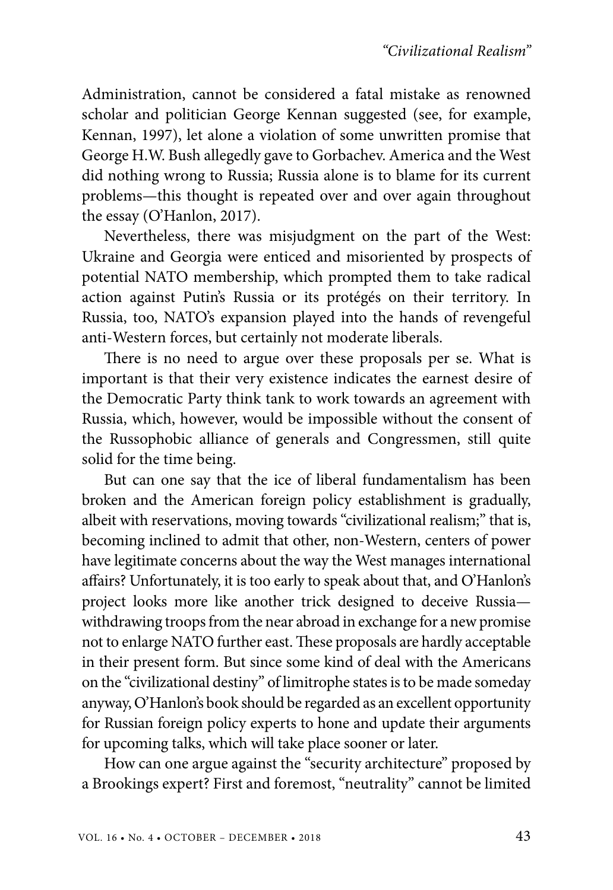Administration, cannot be considered a fatal mistake as renowned scholar and politician George Kennan suggested (see, for example, Kennan, 1997), let alone a violation of some unwritten promise that George H.W. Bush allegedly gave to Gorbachev. America and the West did nothing wrong to Russia; Russia alone is to blame for its current problems—this thought is repeated over and over again throughout the essay (O'Hanlon, 2017).

Nevertheless, there was misjudgment on the part of the West: Ukraine and Georgia were enticed and misoriented by prospects of potential NATO membership, which prompted them to take radical action against Putin's Russia or its protégés on their territory. In Russia, too, NATO's expansion played into the hands of revengeful anti-Western forces, but certainly not moderate liberals.

There is no need to argue over these proposals per se. What is important is that their very existence indicates the earnest desire of the Democratic Party think tank to work towards an agreement with Russia, which, however, would be impossible without the consent of the Russophobic alliance of generals and Congressmen, still quite solid for the time being.

But can one say that the ice of liberal fundamentalism has been broken and the American foreign policy establishment is gradually, albeit with reservations, moving towards "civilizational realism;" that is, becoming inclined to admit that other, non-Western, centers of power have legitimate concerns about the way the West manages international affairs? Unfortunately, it is too early to speak about that, and O'Hanlon's project looks more like another trick designed to deceive Russia withdrawing troops from the near abroad in exchange for a new promise not to enlarge NATO further east. These proposals are hardly acceptable in their present form. But since some kind of deal with the Americans on the "civilizational destiny" of limitrophe states is to be made someday anyway, O'Hanlon's book should be regarded as an excellent opportunity for Russian foreign policy experts to hone and update their arguments for upcoming talks, which will take place sooner or later.

How can one argue against the "security architecture" proposed by a Brookings expert? First and foremost, "neutrality" cannot be limited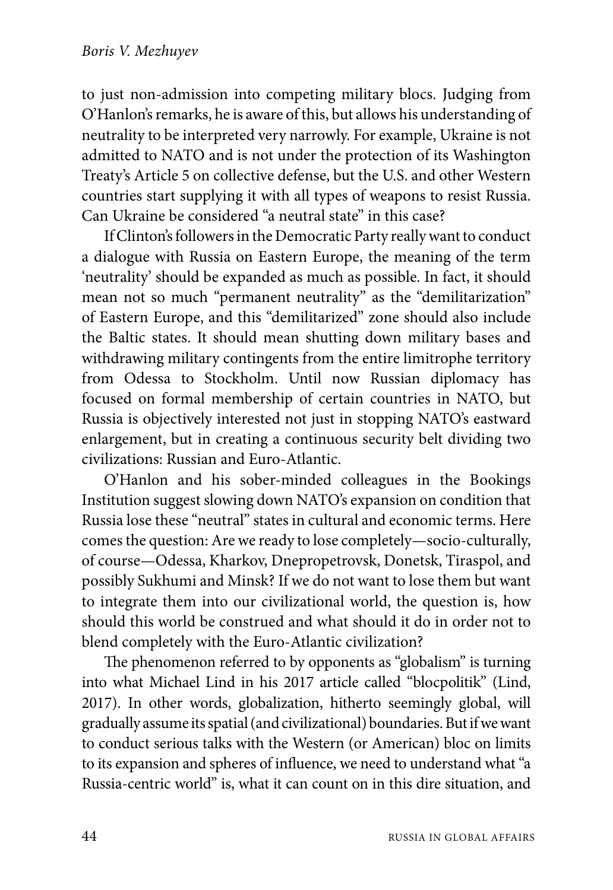to just non-admission into competing military blocs. Judging from O'Hanlon's remarks, he is aware of this, but allows his understanding of neutrality to be interpreted very narrowly. For example, Ukraine is not admitted to NATO and is not under the protection of its Washington Treaty's Article 5 on collective defense, but the U.S. and other Western countries start supplying it with all types of weapons to resist Russia. Can Ukraine be considered "a neutral state" in this case?

If Clinton's followers in the Democratic Party really want to conduct a dialogue with Russia on Eastern Europe, the meaning of the term 'neutrality' should be expanded as much as possible. In fact, it should mean not so much "permanent neutrality" as the "demilitarization" of Eastern Europe, and this "demilitarized" zone should also include the Baltic states. It should mean shutting down military bases and withdrawing military contingents from the entire limitrophe territory from Odessa to Stockholm. Until now Russian diplomacy has focused on formal membership of certain countries in NATO, but Russia is objectively interested not just in stopping NATO's eastward enlargement, but in creating a continuous security belt dividing two civilizations: Russian and Euro-Atlantic.

O'Hanlon and his sober-minded colleagues in the Bookings Institution suggest slowing down NATO's expansion on condition that Russia lose these "neutral" states in cultural and economic terms. Here comes the question: Are we ready to lose completely—socio-culturally, of course—Odessa, Kharkov, Dnepropetrovsk, Donetsk, Tiraspol, and possibly Sukhumi and Minsk? If we do not want to lose them but want to integrate them into our civilizational world, the question is, how should this world be construed and what should it do in order not to blend completely with the Euro-Atlantic civilization?

The phenomenon referred to by opponents as "globalism" is turning into what Michael Lind in his 2017 article called "blocpolitik" (Lind, 2017). In other words, globalization, hitherto seemingly global, will gradually assume its spatial (and civilizational) boundaries. But if we want to conduct serious talks with the Western (or American) bloc on limits to its expansion and spheres of influence, we need to understand what "a Russia-centric world" is, what it can count on in this dire situation, and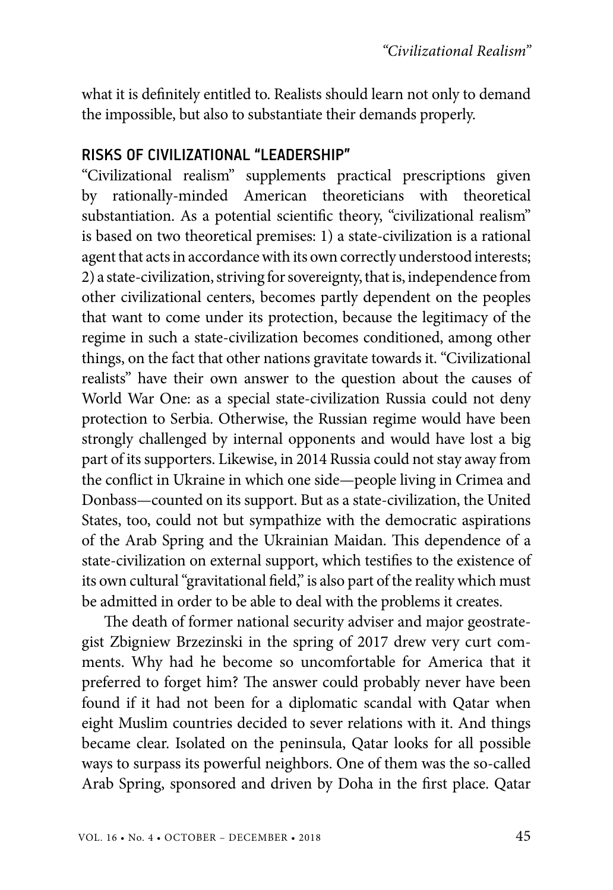what it is definitely entitled to. Realists should learn not only to demand the impossible, but also to substantiate their demands properly.

### RISKS OF CIVILIZATIONAL "LEADERSHIP"

"Civilizational realism" supplements practical prescriptions given by rationally-minded American theoreticians with theoretical substantiation. As a potential scientific theory, "civilizational realism" is based on two theoretical premises: 1) a state-civilization is a rational agent that acts in accordance with its own correctly understood interests; 2) a state-civilization, striving for sovereignty, that is, independence from other civilizational centers, becomes partly dependent on the peoples that want to come under its protection, because the legitimacy of the regime in such a state-civilization becomes conditioned, among other things, on the fact that other nations gravitate towards it. "Civilizational realists" have their own answer to the question about the causes of World War One: as a special state-civilization Russia could not deny protection to Serbia. Otherwise, the Russian regime would have been strongly challenged by internal opponents and would have lost a big part of its supporters. Likewise, in 2014 Russia could not stay away from the conflict in Ukraine in which one side—people living in Crimea and Donbass—counted on its support. But as a state-civilization, the United States, too, could not but sympathize with the democratic aspirations of the Arab Spring and the Ukrainian Maidan. This dependence of a state-civilization on external support, which testifies to the existence of its own cultural "gravitational field," is also part of the reality which must be admitted in order to be able to deal with the problems it creates.

The death of former national security adviser and major geostrategist Zbigniew Brzezinski in the spring of 2017 drew very curt comments. Why had he become so uncomfortable for America that it preferred to forget him? The answer could probably never have been found if it had not been for a diplomatic scandal with Qatar when eight Muslim countries decided to sever relations with it. And things became clear. Isolated on the peninsula, Qatar looks for all possible ways to surpass its powerful neighbors. One of them was the so-called Arab Spring, sponsored and driven by Doha in the first place. Qatar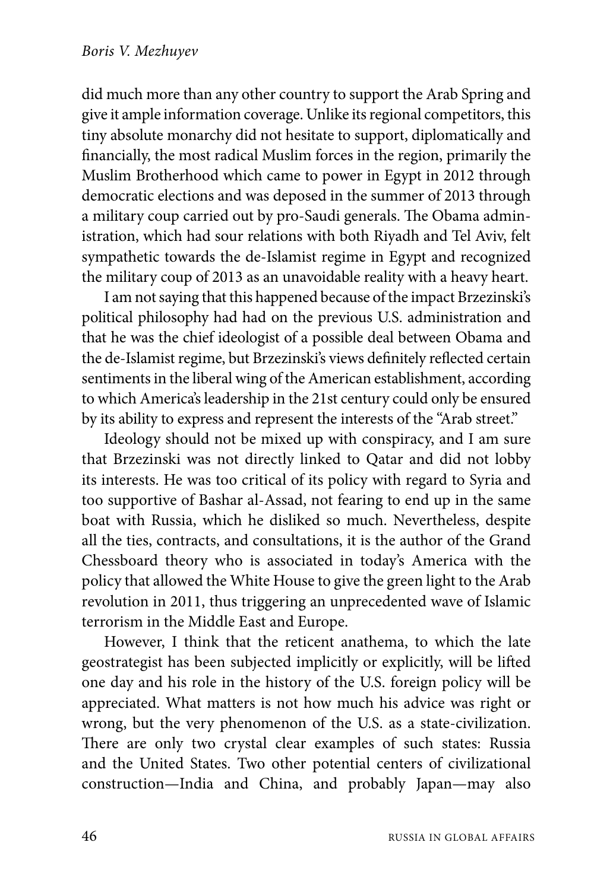did much more than any other country to support the Arab Spring and give it ample information coverage. Unlike its regional competitors, this tiny absolute monarchy did not hesitate to support, diplomatically and financially, the most radical Muslim forces in the region, primarily the Muslim Brotherhood which came to power in Egypt in 2012 through democratic elections and was deposed in the summer of 2013 through a military coup carried out by pro-Saudi generals. The Obama administration, which had sour relations with both Riyadh and Tel Aviv, felt sympathetic towards the de-Islamist regime in Egypt and recognized the military coup of 2013 as an unavoidable reality with a heavy heart.

I am not saying that this happened because of the impact Brzezinski's political philosophy had had on the previous U.S. administration and that he was the chief ideologist of a possible deal between Obama and the de-Islamist regime, but Brzezinski's views definitely reflected certain sentiments in the liberal wing of the American establishment, according to which America's leadership in the 21st century could only be ensured by its ability to express and represent the interests of the "Arab street."

Ideology should not be mixed up with conspiracy, and I am sure that Brzezinski was not directly linked to Qatar and did not lobby its interests. He was too critical of its policy with regard to Syria and too supportive of Bashar al-Assad, not fearing to end up in the same boat with Russia, which he disliked so much. Nevertheless, despite all the ties, contracts, and consultations, it is the author of the Grand Chessboard theory who is associated in today's America with the policy that allowed the White House to give the green light to the Arab revolution in 2011, thus triggering an unprecedented wave of Islamic terrorism in the Middle East and Europe.

However, I think that the reticent anathema, to which the late geostrategist has been subjected implicitly or explicitly, will be lifted one day and his role in the history of the U.S. foreign policy will be appreciated. What matters is not how much his advice was right or wrong, but the very phenomenon of the U.S. as a state-civilization. There are only two crystal clear examples of such states: Russia and the United States. Two other potential centers of civilizational construction—India and China, and probably Japan—may also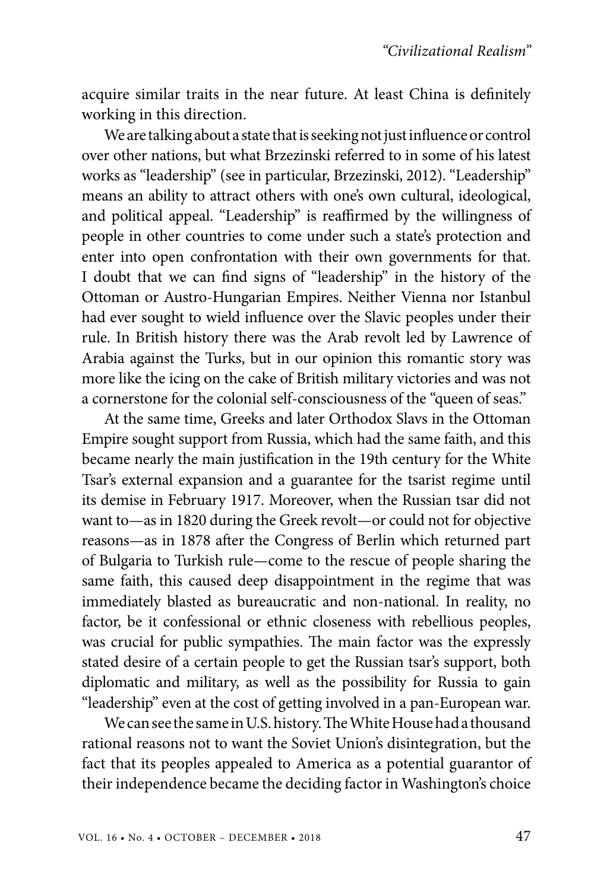acquire similar traits in the near future. At least China is definitely working in this direction.

We are talking about a state that is seeking not just influence or control over other nations, but what Brzezinski referred to in some of his latest works as "leadership" (see in particular, Brzezinski, 2012). "Leadership" means an ability to attract others with one's own cultural, ideological, and political appeal. "Leadership" is reaffirmed by the willingness of people in other countries to come under such a state's protection and enter into open confrontation with their own governments for that. I doubt that we can find signs of "leadership" in the history of the Ottoman or Austro-Hungarian Empires. Neither Vienna nor Istanbul had ever sought to wield influence over the Slavic peoples under their rule. In British history there was the Arab revolt led by Lawrence of Arabia against the Turks, but in our opinion this romantic story was more like the icing on the cake of British military victories and was not a cornerstone for the colonial self-consciousness of the "queen of seas."

At the same time, Greeks and later Orthodox Slavs in the Ottoman Empire sought support from Russia, which had the same faith, and this became nearly the main justification in the 19th century for the White Tsar's external expansion and a guarantee for the tsarist regime until its demise in February 1917. Moreover, when the Russian tsar did not want to—as in 1820 during the Greek revolt—or could not for objective reasons—as in 1878 after the Congress of Berlin which returned part of Bulgaria to Turkish rule—come to the rescue of people sharing the same faith, this caused deep disappointment in the regime that was immediately blasted as bureaucratic and non-national. In reality, no factor, be it confessional or ethnic closeness with rebellious peoples, was crucial for public sympathies. The main factor was the expressly stated desire of a certain people to get the Russian tsar's support, both diplomatic and military, as well as the possibility for Russia to gain "leadership" even at the cost of getting involved in a pan-European war.

We can see the same in U.S. history. The White House had a thousand rational reasons not to want the Soviet Union's disintegration, but the fact that its peoples appealed to America as a potential guarantor of their independence became the deciding factor in Washington's choice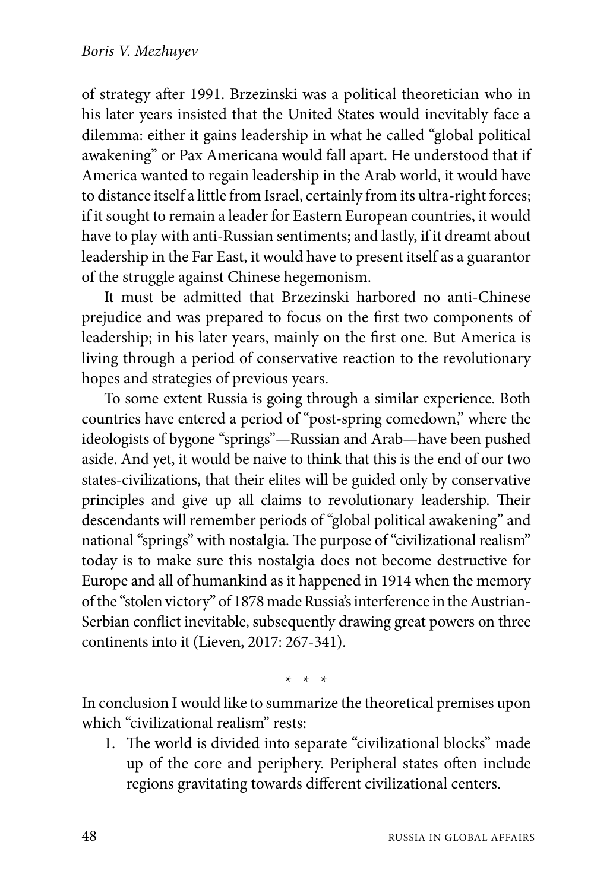of strategy after 1991. Brzezinski was a political theoretician who in his later years insisted that the United States would inevitably face a dilemma: either it gains leadership in what he called "global political awakening" or Pax Americana would fall apart. He understood that if America wanted to regain leadership in the Arab world, it would have to distance itself a little from Israel, certainly from its ultra-right forces; if it sought to remain a leader for Eastern European countries, it would have to play with anti-Russian sentiments; and lastly, if it dreamt about leadership in the Far East, it would have to present itself as a guarantor of the struggle against Chinese hegemonism.

It must be admitted that Brzezinski harbored no anti-Chinese prejudice and was prepared to focus on the first two components of leadership; in his later years, mainly on the first one. But America is living through a period of conservative reaction to the revolutionary hopes and strategies of previous years.

To some extent Russia is going through a similar experience. Both countries have entered a period of "post-spring comedown," where the ideologists of bygone "springs"—Russian and Arab—have been pushed aside. And yet, it would be naive to think that this is the end of our two states-civilizations, that their elites will be guided only by conservative principles and give up all claims to revolutionary leadership. Their descendants will remember periods of "global political awakening" and national "springs" with nostalgia. The purpose of "civilizational realism" today is to make sure this nostalgia does not become destructive for Europe and all of humankind as it happened in 1914 when the memory of the "stolen victory" of 1878 made Russia's interference in the Austrian-Serbian conflict inevitable, subsequently drawing great powers on three continents into it (Lieven, 2017: 267-341).

\* \* \*

In conclusion I would like to summarize the theoretical premises upon which "civilizational realism" rests:

1. The world is divided into separate "civilizational blocks" made up of the core and periphery. Peripheral states often include regions gravitating towards different civilizational centers.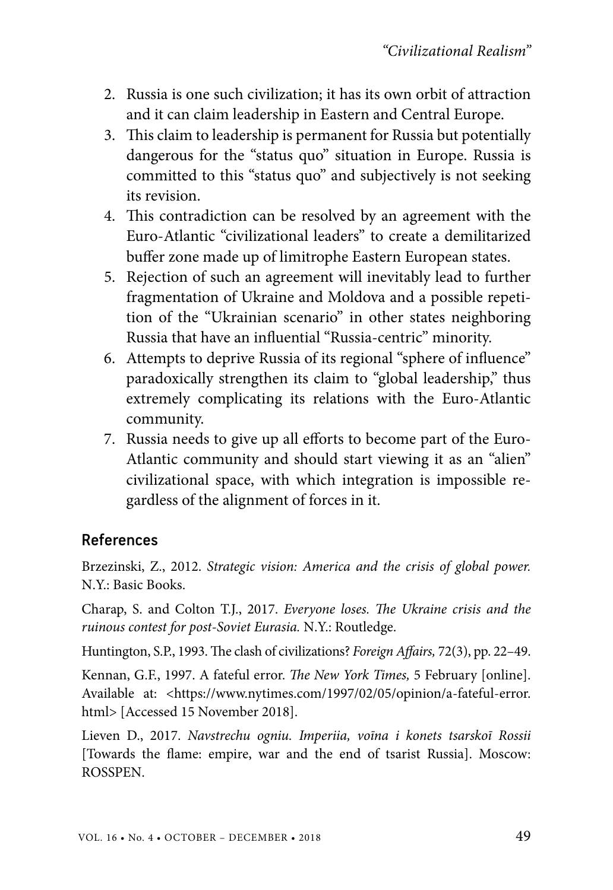- 2. Russia is one such civilization; it has its own orbit of attraction and it can claim leadership in Eastern and Central Europe.
- 3. This claim to leadership is permanent for Russia but potentially dangerous for the "status quo" situation in Europe. Russia is committed to this "status quo" and subjectively is not seeking its revision.
- 4. This contradiction can be resolved by an agreement with the Euro-Atlantic "civilizational leaders" to create a demilitarized buffer zone made up of limitrophe Eastern European states.
- 5. Rejection of such an agreement will inevitably lead to further fragmentation of Ukraine and Moldova and a possible repetition of the "Ukrainian scenario" in other states neighboring Russia that have an influential "Russia-centric" minority.
- 6. Attempts to deprive Russia of its regional "sphere of influence" paradoxically strengthen its claim to "global leadership," thus extremely complicating its relations with the Euro-Atlantic community.
- 7. Russia needs to give up all efforts to become part of the Euro-Atlantic community and should start viewing it as an "alien" civilizational space, with which integration is impossible regardless of the alignment of forces in it.

## References

Brzezinski, Z., 2012. *Strategic vision: America and the crisis of global power.* N.Y.: Basic Books.

Charap, S. and Colton T.J., 2017. *Everyone loses. The Ukraine crisis and the ruinous contest for post-Soviet Eurasia.* N.Y.: Routledge.

Huntington, S.P., 1993. The clash of civilizations? *Foreign Affairs,* 72(3), pp. 22–49.

Kennan, G.F., 1997. A fateful error. *The New York Times,* 5 February [online]. Available at: <https://www.nytimes.com/1997/02/05/opinion/a-fateful-error. html> [Accessed 15 November 2018].

Lieven D., 2017. *Navstrechu ogniu. Imperiia, voīna i konets tsarskoī Rossii*  [Towards the flame: empire, war and the end of tsarist Russia]. Moscow: ROSSPEN.